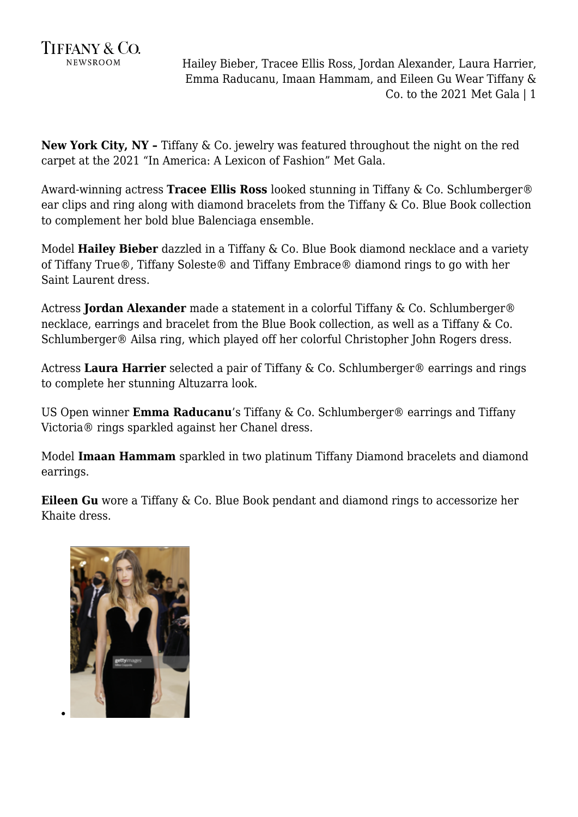

**New York City, NY –** Tiffany & Co. jewelry was featured throughout the night on the red carpet at the 2021 "In America: A Lexicon of Fashion" Met Gala.

Award-winning actress **Tracee Ellis Ross** looked stunning in Tiffany & Co. Schlumberger® ear clips and ring along with diamond bracelets from the Tiffany & Co. Blue Book collection to complement her bold blue Balenciaga ensemble.

Model **Hailey Bieber** dazzled in a Tiffany & Co. Blue Book diamond necklace and a variety of Tiffany True®, Tiffany Soleste® and Tiffany Embrace® diamond rings to go with her Saint Laurent dress.

Actress **Jordan Alexander** made a statement in a colorful Tiffany & Co. Schlumberger® necklace, earrings and bracelet from the Blue Book collection, as well as a Tiffany & Co. Schlumberger® Ailsa ring, which played off her colorful Christopher John Rogers dress.

Actress **Laura Harrier** selected a pair of Tiffany & Co. Schlumberger® earrings and rings to complete her stunning Altuzarra look.

US Open winner **Emma Raducanu**'s Tiffany & Co. Schlumberger® earrings and Tiffany Victoria® rings sparkled against her Chanel dress.

Model **Imaan Hammam** sparkled in two platinum Tiffany Diamond bracelets and diamond earrings.

**Eileen Gu** wore a Tiffany & Co. Blue Book pendant and diamond rings to accessorize her Khaite dress.

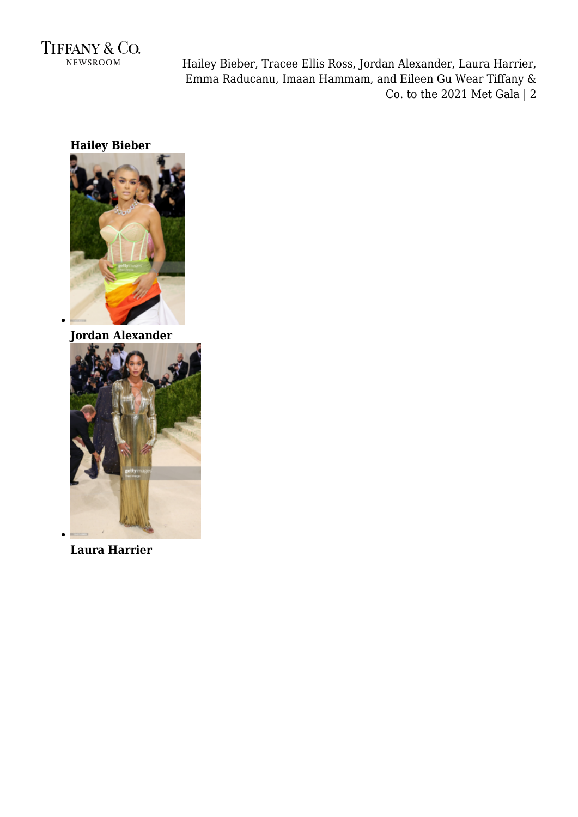

**Hailey Bieber**



**Jordan Alexander**



**Laura Harrier**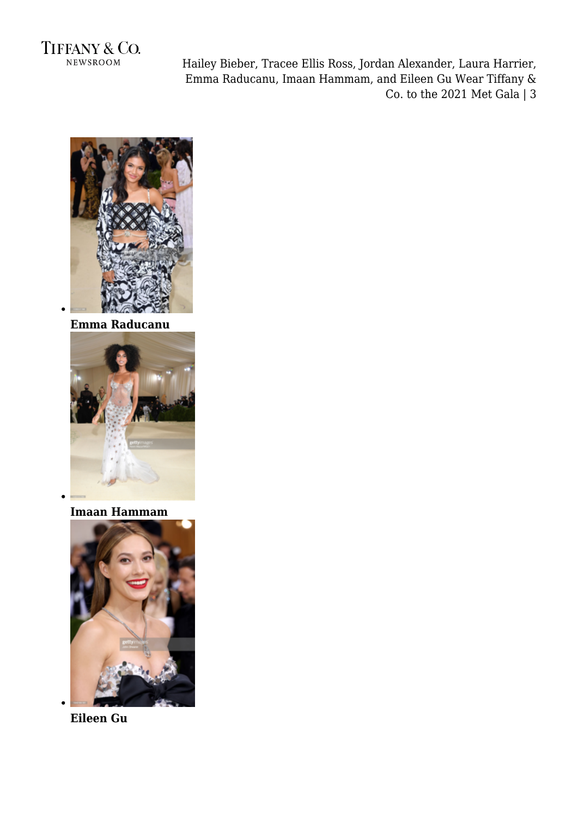



**Emma Raducanu**



**Imaan Hammam**



**Eileen Gu**